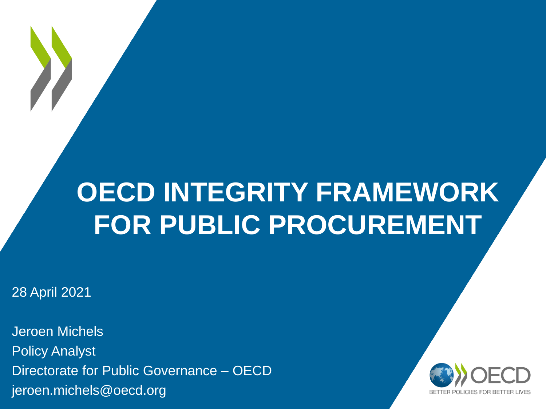## **OECD INTEGRITY FRAMEWORK FOR PUBLIC PROCUREMENT**

28 April 2021

Jeroen Michels Policy Analyst Directorate for Public Governance – OECD jeroen.michels@oecd.org

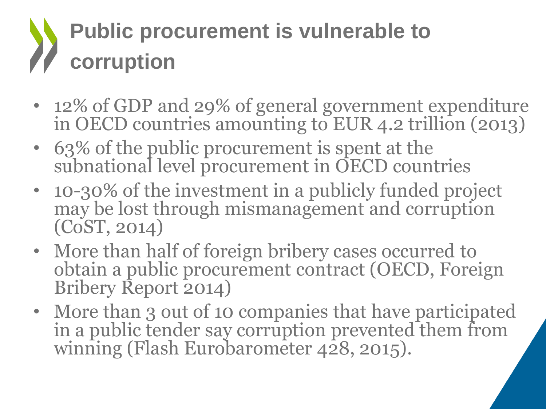## **Public procurement is vulnerable to corruption**

- 12% of GDP and 29% of general government expenditure in OECD countries amounting to EUR 4.2 trillion (2013)
- 63% of the public procurement is spent at the subnational level procurement in OECD countries
- 10-30% of the investment in a publicly funded project may be lost through mismanagement and corruption (CoST, 2014)
- More than half of foreign bribery cases occurred to obtain a public procurement contract (OECD, Foreign Bribery Report 2014)
- More than 3 out of 10 companies that have participated in a public tender say corruption prevented them from winning (Flash Eurobarometer 428, 2015).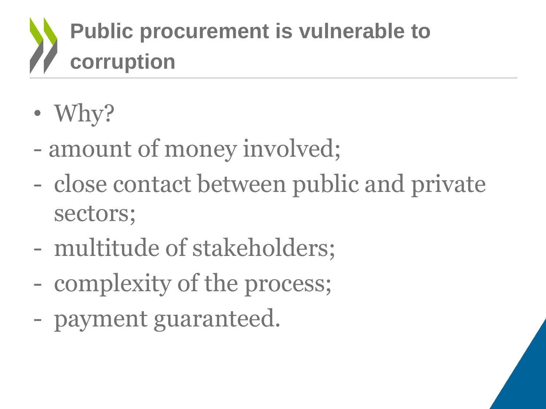## **Public procurement is vulnerable to corruption**

- Why?
- amount of money involved;
- close contact between public and private sectors;
- multitude of stakeholders;
- complexity of the process;
- payment guaranteed.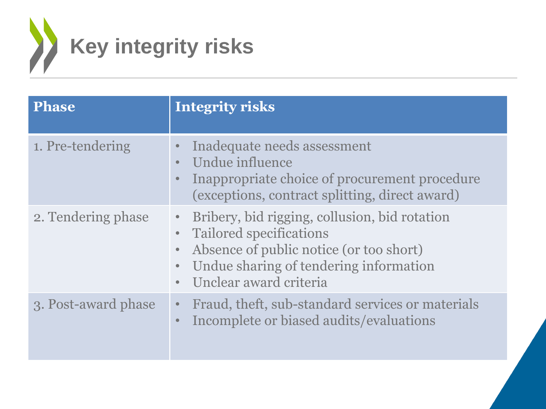

| <b>Phase</b>        | <b>Integrity risks</b>                                                                                                                                                                                              |
|---------------------|---------------------------------------------------------------------------------------------------------------------------------------------------------------------------------------------------------------------|
| 1. Pre-tendering    | Inadequate needs assessment<br>$\bullet$<br>Undue influence<br>Inappropriate choice of procurement procedure<br>(exceptions, contract splitting, direct award)                                                      |
| 2. Tendering phase  | Bribery, bid rigging, collusion, bid rotation<br>• Tailored specifications<br>Absence of public notice (or too short)<br>$\bullet$<br>Undue sharing of tendering information<br>$\bullet$<br>Unclear award criteria |
| 3. Post-award phase | Fraud, theft, sub-standard services or materials<br>$\bullet$<br>Incomplete or biased audits/evaluations<br>$\bullet$                                                                                               |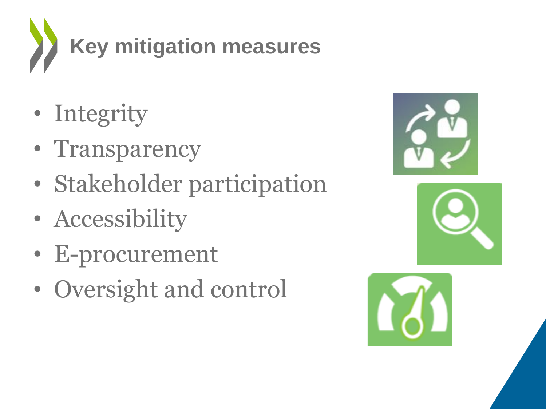

- Integrity
- Transparency
- Stakeholder participation
- Accessibility
- E-procurement
- Oversight and control

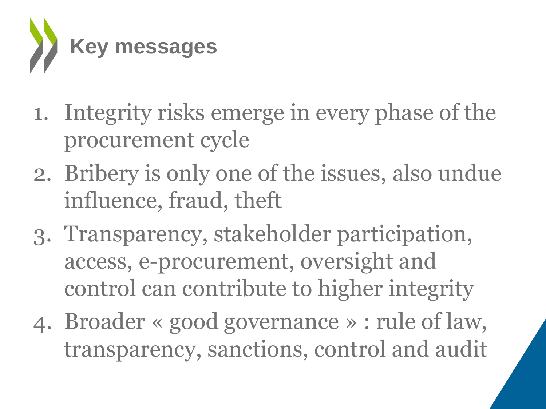

- 1. Integrity risks emerge in every phase of the procurement cycle
- 2. Bribery is only one of the issues, also undue influence, fraud, theft
- 3. Transparency, stakeholder participation, access, e-procurement, oversight and control can contribute to higher integrity
- 4. Broader « good governance » : rule of law, transparency, sanctions, control and audit